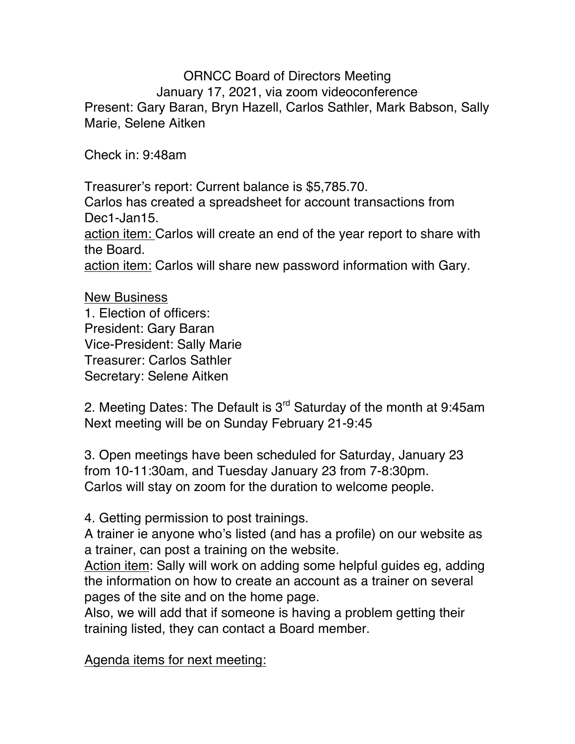ORNCC Board of Directors Meeting January 17, 2021, via zoom videoconference Present: Gary Baran, Bryn Hazell, Carlos Sathler, Mark Babson, Sally Marie, Selene Aitken

Check in: 9:48am

Treasurer's report: Current balance is \$5,785.70. Carlos has created a spreadsheet for account transactions from Dec1-Jan15. action item: Carlos will create an end of the year report to share with the Board. action item: Carlos will share new password information with Gary.

New Business 1. Election of officers: President: Gary Baran Vice-President: Sally Marie Treasurer: Carlos Sathler Secretary: Selene Aitken

2. Meeting Dates: The Default is  $3<sup>rd</sup>$  Saturday of the month at 9:45am Next meeting will be on Sunday February 21-9:45

3. Open meetings have been scheduled for Saturday, January 23 from 10-11:30am, and Tuesday January 23 from 7-8:30pm. Carlos will stay on zoom for the duration to welcome people.

4. Getting permission to post trainings.

A trainer ie anyone who's listed (and has a profile) on our website as a trainer, can post a training on the website.

Action item: Sally will work on adding some helpful guides eg, adding the information on how to create an account as a trainer on several pages of the site and on the home page.

Also, we will add that if someone is having a problem getting their training listed, they can contact a Board member.

Agenda items for next meeting: